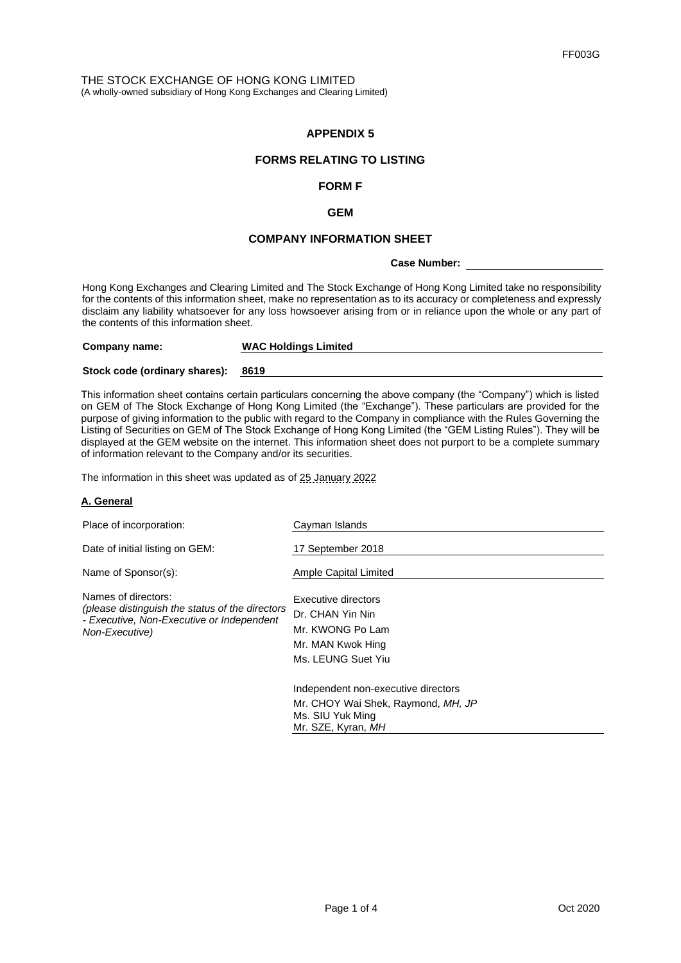# **APPENDIX 5**

# **FORMS RELATING TO LISTING**

## **FORM F**

### **GEM**

# **COMPANY INFORMATION SHEET**

**Case Number:** 

Hong Kong Exchanges and Clearing Limited and The Stock Exchange of Hong Kong Limited take no responsibility for the contents of this information sheet, make no representation as to its accuracy or completeness and expressly disclaim any liability whatsoever for any loss howsoever arising from or in reliance upon the whole or any part of the contents of this information sheet.

| Company name:                      | <b>WAC Holdings Limited</b> |
|------------------------------------|-----------------------------|
| Stock code (ordinary shares): 8619 |                             |

This information sheet contains certain particulars concerning the above company (the "Company") which is listed on GEM of The Stock Exchange of Hong Kong Limited (the "Exchange"). These particulars are provided for the purpose of giving information to the public with regard to the Company in compliance with the Rules Governing the Listing of Securities on GEM of The Stock Exchange of Hong Kong Limited (the "GEM Listing Rules"). They will be displayed at the GEM website on the internet. This information sheet does not purport to be a complete summary of information relevant to the Company and/or its securities.

The information in this sheet was updated as of 25 January 2022

## **A. General**

| Place of incorporation:                                                                                                               | Cayman Islands                                                                                                      |
|---------------------------------------------------------------------------------------------------------------------------------------|---------------------------------------------------------------------------------------------------------------------|
| Date of initial listing on GEM:                                                                                                       | 17 September 2018                                                                                                   |
| Name of Sponsor(s):                                                                                                                   | Ample Capital Limited                                                                                               |
| Names of directors:<br>(please distinguish the status of the directors<br>- Executive, Non-Executive or Independent<br>Non-Executive) | Executive directors<br>Dr. CHAN Yin Nin<br>Mr. KWONG Po Lam<br>Mr. MAN Kwok Hing<br>Ms. LEUNG Suet Yiu              |
|                                                                                                                                       | Independent non-executive directors<br>Mr. CHOY Wai Shek, Raymond, MH, JP<br>Ms. SIU Yuk Ming<br>Mr. SZE, Kyran, MH |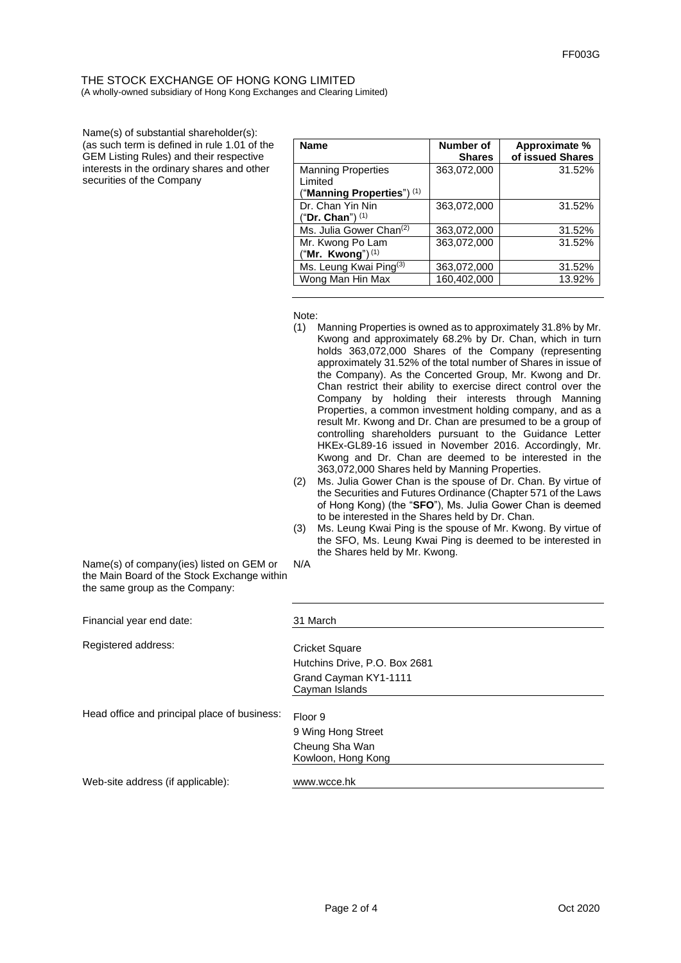### THE STOCK EXCHANGE OF HONG KONG LIMITED (A wholly-owned subsidiary of Hong Kong Exchanges and Clearing Limited)

Name(s) of substantial shareholder(s): (as such term is defined in rule 1.01 of the GEM Listing Rules) and their respective interests in the ordinary shares and other securities of the Company

| <b>Name</b>                         | Number of<br><b>Shares</b> | Approximate %<br>of issued Shares |
|-------------------------------------|----------------------------|-----------------------------------|
| <b>Manning Properties</b>           | 363,072,000                | 31.52%                            |
| Limited                             |                            |                                   |
| ("Manning Properties") $(1)$        |                            |                                   |
| Dr. Chan Yin Nin                    | 363,072,000                | 31.52%                            |
| ("Dr. Chan") <sup>(1)</sup>         |                            |                                   |
| Ms. Julia Gower Chan <sup>(2)</sup> | 363,072,000                | 31.52%                            |
| Mr. Kwong Po Lam                    | 363,072,000                | 31.52%                            |
| ("Mr. Kwong") $(1)$                 |                            |                                   |
| Ms. Leung Kwai Ping <sup>(3)</sup>  | 363,072,000                | 31.52%                            |
| Wong Man Hin Max                    | 160,402,000                | 13.92%                            |

Note:

- (1) Manning Properties is owned as to approximately 31.8% by Mr. Kwong and approximately 68.2% by Dr. Chan, which in turn holds 363,072,000 Shares of the Company (representing approximately 31.52% of the total number of Shares in issue of the Company). As the Concerted Group, Mr. Kwong and Dr. Chan restrict their ability to exercise direct control over the Company by holding their interests through Manning Properties, a common investment holding company, and as a result Mr. Kwong and Dr. Chan are presumed to be a group of controlling shareholders pursuant to the Guidance Letter HKEx-GL89-16 issued in November 2016. Accordingly, Mr. Kwong and Dr. Chan are deemed to be interested in the 363,072,000 Shares held by Manning Properties.
- (2) Ms. Julia Gower Chan is the spouse of Dr. Chan. By virtue of the Securities and Futures Ordinance (Chapter 571 of the Laws of Hong Kong) (the "**SFO**"), Ms. Julia Gower Chan is deemed to be interested in the Shares held by Dr. Chan.
- (3) Ms. Leung Kwai Ping is the spouse of Mr. Kwong. By virtue of the SFO, Ms. Leung Kwai Ping is deemed to be interested in the Shares held by Mr. Kwong.

Name(s) of company(ies) listed on GEM or the Main Board of the Stock Exchange within the same group as the Company: N/A

| Financial year end date:                     | 31 March                                               |
|----------------------------------------------|--------------------------------------------------------|
| Registered address:                          | <b>Cricket Square</b><br>Hutchins Drive, P.O. Box 2681 |
|                                              | Grand Cayman KY1-1111<br>Cayman Islands                |
| Head office and principal place of business: | Floor 9<br>9 Wing Hong Street                          |
|                                              | Cheung Sha Wan<br>Kowloon, Hong Kong                   |
| Web-site address (if applicable):            | www.wcce.hk                                            |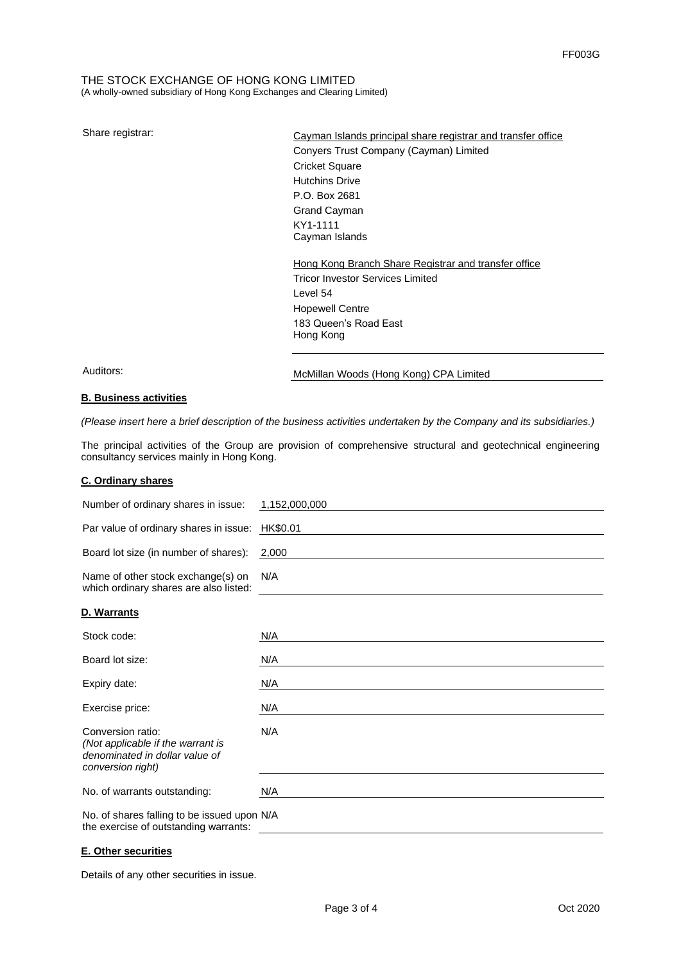### THE STOCK EXCHANGE OF HONG KONG LIMITED (A wholly-owned subsidiary of Hong Kong Exchanges and Clearing Limited)

Share registrar: Cayman Islands principal share registrar and transfer office Conyers Trust Company (Cayman) Limited Cricket Square Hutchins Drive P.O. Box 2681 Grand Cayman KY1-1111 Cayman Islands

# Hong Kong Branch Share Registrar and transfer office Tricor Investor Services Limited Level 54 Hopewell Centre 183 Queen's Road East Hong Kong

Auditors: McMillan Woods (Hong Kong) CPA Limited

### **B. Business activities**

*(Please insert here a brief description of the business activities undertaken by the Company and its subsidiaries.)*

The principal activities of the Group are provision of comprehensive structural and geotechnical engineering consultancy services mainly in Hong Kong.

### **C. Ordinary shares**

| Number of ordinary shares in issue:                                                                           | 1,152,000,000 |
|---------------------------------------------------------------------------------------------------------------|---------------|
| Par value of ordinary shares in issue:                                                                        | HK\$0.01      |
| Board lot size (in number of shares):                                                                         | 2,000         |
| Name of other stock exchange(s) on<br>which ordinary shares are also listed:                                  | N/A           |
| D. Warrants                                                                                                   |               |
| Stock code:                                                                                                   | N/A           |
| Board lot size:                                                                                               | N/A           |
| Expiry date:                                                                                                  | N/A           |
| Exercise price:                                                                                               | N/A           |
| Conversion ratio:<br>(Not applicable if the warrant is<br>denominated in dollar value of<br>conversion right) | N/A           |
| No. of warrants outstanding:                                                                                  | N/A           |
| No. of shares falling to be issued upon N/A<br>the exercise of outstanding warrants:                          |               |

### **E. Other securities**

Details of any other securities in issue.